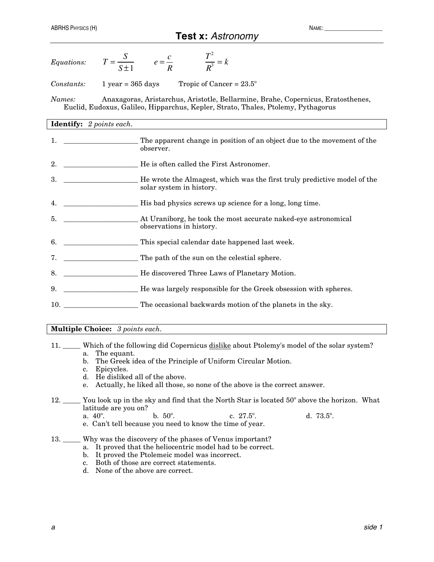| Equations: |  |  |
|------------|--|--|
|            |  |  |

*Constants:* 1 year = 365 days Tropic of Cancer =  $23.5^{\circ}$ 

 Euclid, Eudoxus, Galileo, Hipparchus, Kepler, Strato, Thales, Ptolemy, Pythagorus *Names:* Anaxagoras, Aristarchus, Aristotle, Bellarmine, Brahe, Copernicus, Eratosthenes,

## **Identify:** *2 points each.*

| 1.  | The apparent change in position of an object due to the movement of the<br>observer.                 |
|-----|------------------------------------------------------------------------------------------------------|
| 2.  | He is often called the First Astronomer.                                                             |
| 3.  | He wrote the Almagest, which was the first truly predictive model of the<br>solar system in history. |
| 4.  | His bad physics screws up science for a long, long time.                                             |
| 5.  | At Uraniborg, he took the most accurate naked-eye astronomical<br>observations in history.           |
| 6.  | This special calendar date happened last week.                                                       |
| 7.  | The path of the sun on the celestial sphere.                                                         |
| 8.  | He discovered Three Laws of Planetary Motion.                                                        |
| 9.  | He was largely responsible for the Greek obsession with spheres.                                     |
| 10. | The occasional backwards motion of the planets in the sky.                                           |

**Multiple Choice:** *3 points each.*

- 11. \_\_\_\_\_ Which of the following did Copernicus dislike about Ptolemy's model of the solar system? a. The equant.
	- b. The Greek idea of the Principle of Uniform Circular Motion.
	- c. Epicycles.
	- d. He disliked all of the above.
	- e. Actually, he liked all those, so none of the above is the correct answer.
- 12. \_\_\_\_\_ You look up in the sky and find that the North Star is located 50º above the horizon. What latitude are you on?
	- a.  $40^{\circ}$ . b.  $50^{\circ}$ . c.  $27.5^{\circ}$ . d.  $73.5^{\circ}$ .
	- e. Can't tell because you need to know the time of year.

## 13. \_\_\_\_\_ Why was the discovery of the phases of Venus important?

- a. It proved that the heliocentric model had to be correct.
- b. It proved the Ptolemeic model was incorrect.
- c. Both of those are correct statements.
- d. None of the above are correct.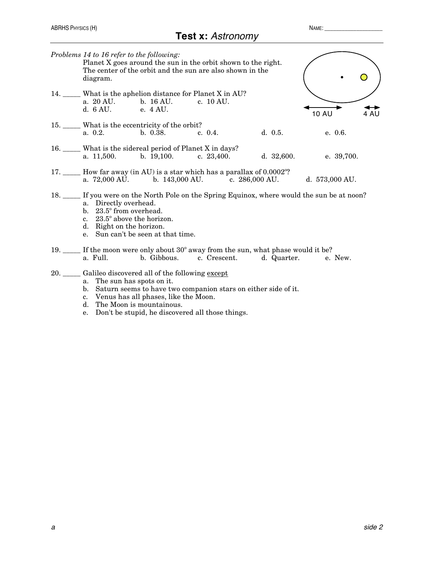| Problems 14 to 16 refer to the following:<br>diagram.                                                       |                                                                        | Planet X goes around the sun in the orbit shown to the right.<br>The center of the orbit and the sun are also shown in the |                                                                                                                                 |              |      |
|-------------------------------------------------------------------------------------------------------------|------------------------------------------------------------------------|----------------------------------------------------------------------------------------------------------------------------|---------------------------------------------------------------------------------------------------------------------------------|--------------|------|
| d. 6 AU. e. 4 AU.                                                                                           | a. 20 AU. b. 16 AU. c. 10 AU.                                          | 14. _____ What is the aphelion distance for Planet X in AU?                                                                |                                                                                                                                 | <b>10 AU</b> | 4 AU |
|                                                                                                             | 15. What is the eccentricity of the orbit?<br>a. 0.2. b. 0.38. c. 0.4. |                                                                                                                            | d. 0.5.                                                                                                                         | e. 0.6.      |      |
|                                                                                                             | 16. What is the sidereal period of Planet X in days?                   |                                                                                                                            | a. $11,500.$ b. $19,100.$ c. $23,400.$ d. $32,600.$ e. $39,700.$                                                                |              |      |
|                                                                                                             |                                                                        | 17. _____ How far away (in AU) is a star which has a parallax of 0.0002 <sup>o</sup> ?                                     | a. 72,000 AU. b. 143,000 AU. c. 286,000 AU. d. 573,000 AU.                                                                      |              |      |
| a. Directly overhead.<br>b. 23.5° from overhead.<br>c. 23.5° above the horizon.<br>d. Right on the horizon. | e. Sun can't be seen at that time.                                     |                                                                                                                            | 18. If you were on the North Pole on the Spring Equinox, where would the sun be at noon?                                        |              |      |
| a. Full.                                                                                                    |                                                                        |                                                                                                                            | 19. If the moon were only about $30^{\circ}$ away from the sun, what phase would it be?<br>b. Gibbous. c. Crescent. d. Quarter. | e. New.      |      |
|                                                                                                             | 20. ____ Galileo discovered all of the following except                |                                                                                                                            |                                                                                                                                 |              |      |

- a. The sun has spots on it.
- b. Saturn seems to have two companion stars on either side of it.
- c. Venus has all phases, like the Moon.
- d. The Moon is mountainous.
- e. Don't be stupid, he discovered all those things.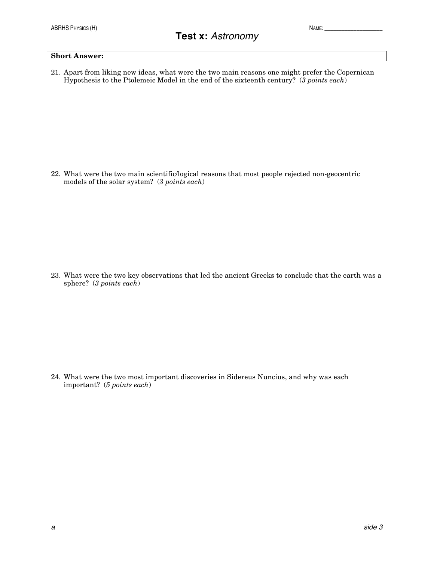## **Short Answer:**

21. Apart from liking new ideas, what were the two main reasons one might prefer the Copernican Hypothesis to the Ptolemeic Model in the end of the sixteenth century? (*3 points each*)

22. What were the two main scientific/logical reasons that most people rejected non-geocentric models of the solar system? (*3 points each*)

23. What were the two key observations that led the ancient Greeks to conclude that the earth was a sphere? (*3 points each*)

24. What were the two most important discoveries in Sidereus Nuncius, and why was each important? (*5 points each*)